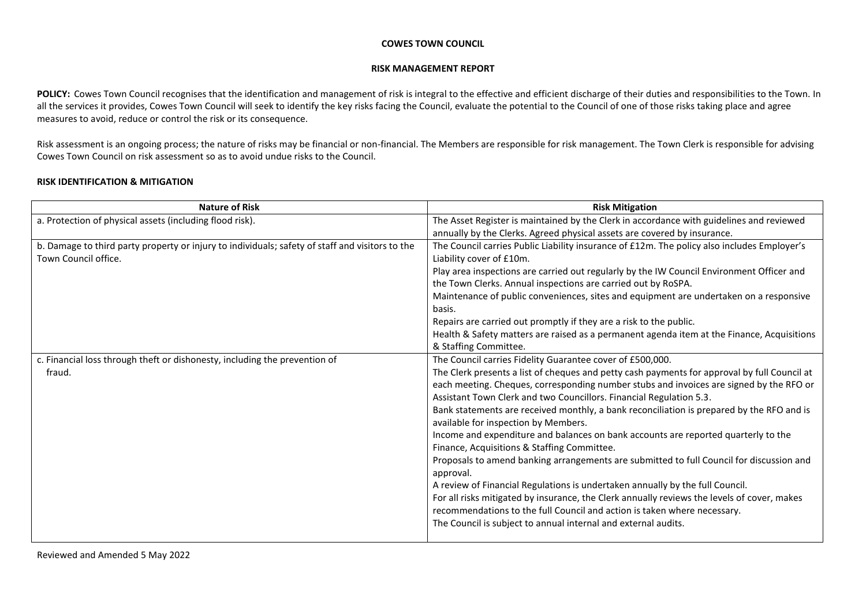## **COWES TOWN COUNCIL**

## **RISK MANAGEMENT REPORT**

POLICY: Cowes Town Council recognises that the identification and management of risk is integral to the effective and efficient discharge of their duties and responsibilities to the Town. In all the services it provides, Cowes Town Council will seek to identify the key risks facing the Council, evaluate the potential to the Council of one of those risks taking place and agree measures to avoid, reduce or control the risk or its consequence.

Risk assessment is an ongoing process; the nature of risks may be financial or non-financial. The Members are responsible for risk management. The Town Clerk is responsible for advising Cowes Town Council on risk assessment so as to avoid undue risks to the Council.

## **RISK IDENTIFICATION & MITIGATION**

| <b>Nature of Risk</b>                                                                           | <b>Risk Mitigation</b>                                                                       |
|-------------------------------------------------------------------------------------------------|----------------------------------------------------------------------------------------------|
| a. Protection of physical assets (including flood risk).                                        | The Asset Register is maintained by the Clerk in accordance with guidelines and reviewed     |
|                                                                                                 | annually by the Clerks. Agreed physical assets are covered by insurance.                     |
| b. Damage to third party property or injury to individuals; safety of staff and visitors to the | The Council carries Public Liability insurance of £12m. The policy also includes Employer's  |
| Town Council office.                                                                            | Liability cover of £10m.                                                                     |
|                                                                                                 | Play area inspections are carried out regularly by the IW Council Environment Officer and    |
|                                                                                                 | the Town Clerks. Annual inspections are carried out by RoSPA.                                |
|                                                                                                 | Maintenance of public conveniences, sites and equipment are undertaken on a responsive       |
|                                                                                                 | basis.                                                                                       |
|                                                                                                 | Repairs are carried out promptly if they are a risk to the public.                           |
|                                                                                                 | Health & Safety matters are raised as a permanent agenda item at the Finance, Acquisitions   |
|                                                                                                 | & Staffing Committee.                                                                        |
| c. Financial loss through theft or dishonesty, including the prevention of                      | The Council carries Fidelity Guarantee cover of £500,000.                                    |
| fraud.                                                                                          | The Clerk presents a list of cheques and petty cash payments for approval by full Council at |
|                                                                                                 | each meeting. Cheques, corresponding number stubs and invoices are signed by the RFO or      |
|                                                                                                 | Assistant Town Clerk and two Councillors. Financial Regulation 5.3.                          |
|                                                                                                 | Bank statements are received monthly, a bank reconciliation is prepared by the RFO and is    |
|                                                                                                 | available for inspection by Members.                                                         |
|                                                                                                 | Income and expenditure and balances on bank accounts are reported quarterly to the           |
|                                                                                                 | Finance, Acquisitions & Staffing Committee.                                                  |
|                                                                                                 | Proposals to amend banking arrangements are submitted to full Council for discussion and     |
|                                                                                                 | approval.                                                                                    |
|                                                                                                 | A review of Financial Regulations is undertaken annually by the full Council.                |
|                                                                                                 | For all risks mitigated by insurance, the Clerk annually reviews the levels of cover, makes  |
|                                                                                                 | recommendations to the full Council and action is taken where necessary.                     |
|                                                                                                 | The Council is subject to annual internal and external audits.                               |
|                                                                                                 |                                                                                              |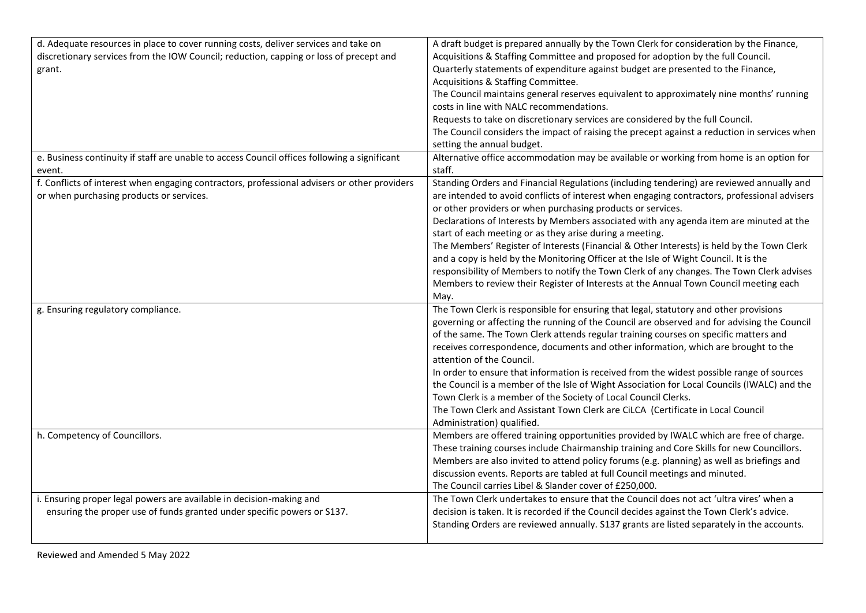| d. Adequate resources in place to cover running costs, deliver services and take on          | A draft budget is prepared annually by the Town Clerk for consideration by the Finance,      |
|----------------------------------------------------------------------------------------------|----------------------------------------------------------------------------------------------|
| discretionary services from the IOW Council; reduction, capping or loss of precept and       | Acquisitions & Staffing Committee and proposed for adoption by the full Council.             |
| grant.                                                                                       | Quarterly statements of expenditure against budget are presented to the Finance,             |
|                                                                                              | Acquisitions & Staffing Committee.                                                           |
|                                                                                              | The Council maintains general reserves equivalent to approximately nine months' running      |
|                                                                                              | costs in line with NALC recommendations.                                                     |
|                                                                                              | Requests to take on discretionary services are considered by the full Council.               |
|                                                                                              | The Council considers the impact of raising the precept against a reduction in services when |
|                                                                                              | setting the annual budget.                                                                   |
| e. Business continuity if staff are unable to access Council offices following a significant | Alternative office accommodation may be available or working from home is an option for      |
| event.                                                                                       | staff.                                                                                       |
| f. Conflicts of interest when engaging contractors, professional advisers or other providers | Standing Orders and Financial Regulations (including tendering) are reviewed annually and    |
| or when purchasing products or services.                                                     | are intended to avoid conflicts of interest when engaging contractors, professional advisers |
|                                                                                              | or other providers or when purchasing products or services.                                  |
|                                                                                              | Declarations of Interests by Members associated with any agenda item are minuted at the      |
|                                                                                              | start of each meeting or as they arise during a meeting.                                     |
|                                                                                              | The Members' Register of Interests (Financial & Other Interests) is held by the Town Clerk   |
|                                                                                              | and a copy is held by the Monitoring Officer at the Isle of Wight Council. It is the         |
|                                                                                              | responsibility of Members to notify the Town Clerk of any changes. The Town Clerk advises    |
|                                                                                              | Members to review their Register of Interests at the Annual Town Council meeting each        |
|                                                                                              | May.                                                                                         |
| g. Ensuring regulatory compliance.                                                           | The Town Clerk is responsible for ensuring that legal, statutory and other provisions        |
|                                                                                              | governing or affecting the running of the Council are observed and for advising the Council  |
|                                                                                              | of the same. The Town Clerk attends regular training courses on specific matters and         |
|                                                                                              | receives correspondence, documents and other information, which are brought to the           |
|                                                                                              | attention of the Council.                                                                    |
|                                                                                              | In order to ensure that information is received from the widest possible range of sources    |
|                                                                                              | the Council is a member of the Isle of Wight Association for Local Councils (IWALC) and the  |
|                                                                                              | Town Clerk is a member of the Society of Local Council Clerks.                               |
|                                                                                              | The Town Clerk and Assistant Town Clerk are CiLCA (Certificate in Local Council              |
|                                                                                              | Administration) qualified.                                                                   |
| h. Competency of Councillors.                                                                | Members are offered training opportunities provided by IWALC which are free of charge.       |
|                                                                                              | These training courses include Chairmanship training and Core Skills for new Councillors.    |
|                                                                                              | Members are also invited to attend policy forums (e.g. planning) as well as briefings and    |
|                                                                                              | discussion events. Reports are tabled at full Council meetings and minuted.                  |
|                                                                                              | The Council carries Libel & Slander cover of £250,000.                                       |
| i. Ensuring proper legal powers are available in decision-making and                         | The Town Clerk undertakes to ensure that the Council does not act 'ultra vires' when a       |
| ensuring the proper use of funds granted under specific powers or S137.                      | decision is taken. It is recorded if the Council decides against the Town Clerk's advice.    |
|                                                                                              | Standing Orders are reviewed annually. S137 grants are listed separately in the accounts.    |
|                                                                                              |                                                                                              |